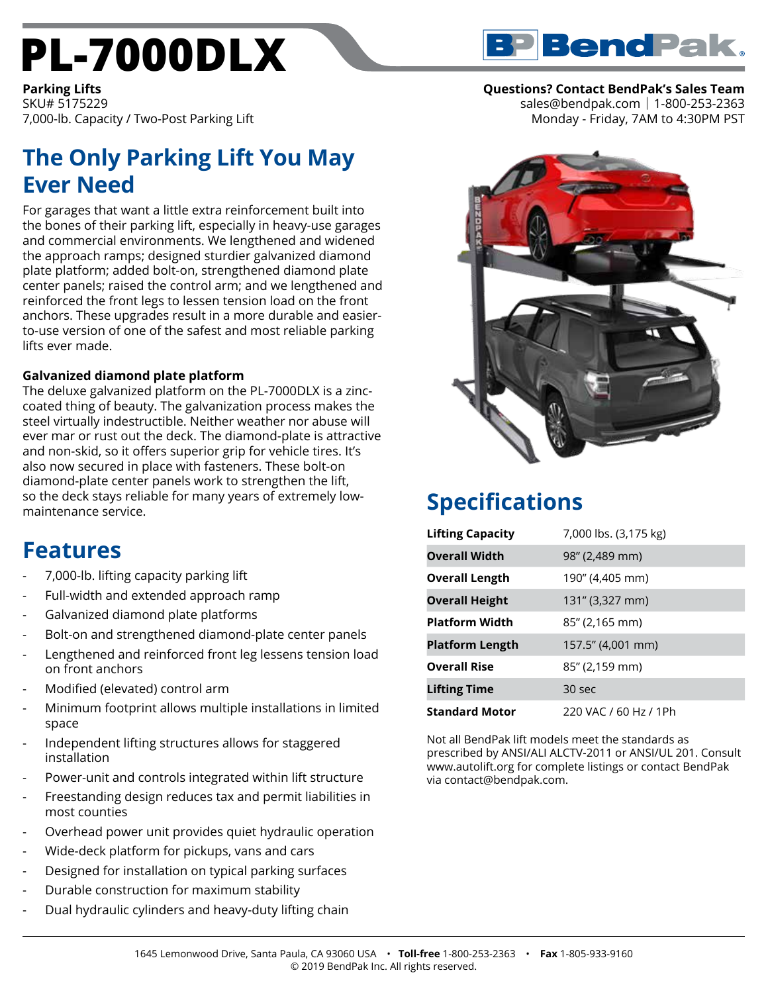# **[PL-7000DLX](https://www.bendpak.com/car-lifts/parking-lifts/pl-7000dlx/)**



**Questions? Contact BendPak's Sales Team**

sales@bendpak.com | 1-800-253-2363 Monday - Friday, 7AM to 4:30PM PST

**Parking Lifts** SKU# 5175229 7,000-lb. Capacity / Two-Post Parking Lift

## **The Only Parking Lift You May Ever Need**

For garages that want a little extra reinforcement built into the bones of their parking lift, especially in heavy-use garages and commercial environments. We lengthened and widened the approach ramps; designed sturdier galvanized diamond plate platform; added bolt-on, strengthened diamond plate center panels; raised the control arm; and we lengthened and reinforced the front legs to lessen tension load on the front anchors. These upgrades result in a more durable and easierto-use version of one of the safest and most reliable parking lifts ever made.

#### **Galvanized diamond plate platform**

The deluxe galvanized platform on the PL-7000DLX is a zinccoated thing of beauty. The galvanization process makes the steel virtually indestructible. Neither weather nor abuse will ever mar or rust out the deck. The diamond-plate is attractive and non-skid, so it offers superior grip for vehicle tires. It's also now secured in place with fasteners. These bolt-on diamond-plate center panels work to strengthen the lift, so the deck stays reliable for many years of extremely lowmaintenance service.

### **Features**

- 7,000-lb. lifting capacity parking lift
- Full-width and extended approach ramp
- Galvanized diamond plate platforms
- Bolt-on and strengthened diamond-plate center panels
- Lengthened and reinforced front leg lessens tension load on front anchors
- Modified (elevated) control arm
- Minimum footprint allows multiple installations in limited space
- Independent lifting structures allows for staggered installation
- Power-unit and controls integrated within lift structure
- Freestanding design reduces tax and permit liabilities in most counties
- Overhead power unit provides quiet hydraulic operation
- Wide-deck platform for pickups, vans and cars
- Designed for installation on typical parking surfaces
- Durable construction for maximum stability
- Dual hydraulic cylinders and heavy-duty lifting chain



## **Specifications**

| <b>Lifting Capacity</b> | 7,000 lbs. (3,175 kg) |
|-------------------------|-----------------------|
| <b>Overall Width</b>    | 98" (2,489 mm)        |
| <b>Overall Length</b>   | 190" (4,405 mm)       |
| <b>Overall Height</b>   | 131" (3,327 mm)       |
| <b>Platform Width</b>   | 85" (2,165 mm)        |
| <b>Platform Length</b>  | 157.5" (4,001 mm)     |
| <b>Overall Rise</b>     | 85" (2,159 mm)        |
| <b>Lifting Time</b>     | 30 sec                |
| <b>Standard Motor</b>   | 220 VAC / 60 Hz / 1Ph |

Not all BendPak lift models meet the standards as prescribed by ANSI/ALI ALCTV-2011 or ANSI/UL 201. Consult www.autolift.org for complete listings or contact BendPak via contact@bendpak.com.